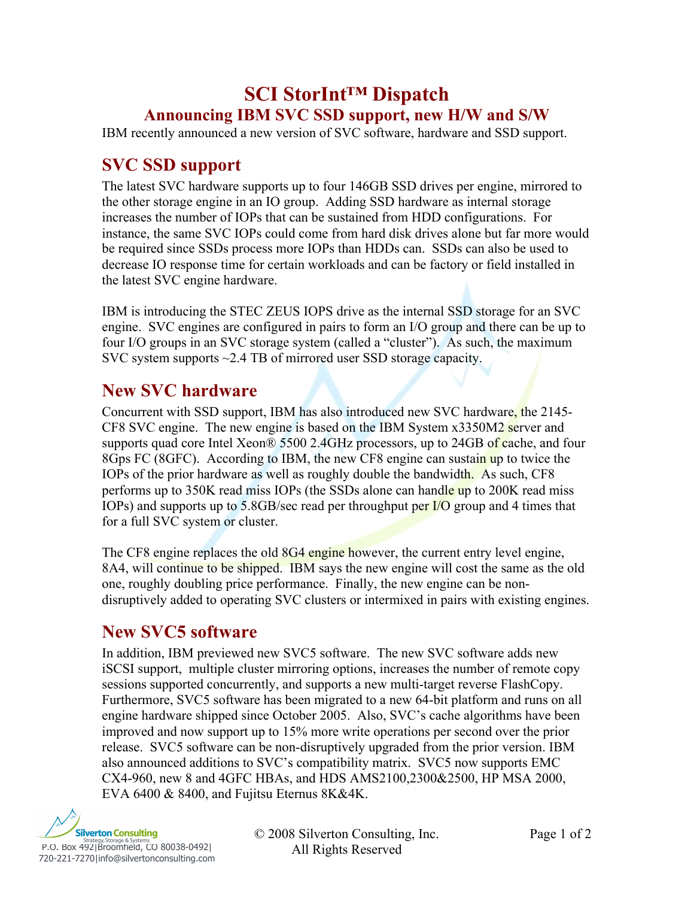# **SCI StorInt™ Dispatch Announcing IBM SVC SSD support, new H/W and S/W**

IBM recently announced a new version of SVC software, hardware and SSD support.

# **SVC SSD support**

The latest SVC hardware supports up to four 146GB SSD drives per engine, mirrored to the other storage engine in an IO group. Adding SSD hardware as internal storage increases the number of IOPs that can be sustained from HDD configurations. For instance, the same SVC IOPs could come from hard disk drives alone but far more would be required since SSDs process more IOPs than HDDs can. SSDs can also be used to decrease IO response time for certain workloads and can be factory or field installed in the latest SVC engine hardware.

IBM is introducing the STEC ZEUS IOPS drive as the internal SSD storage for an SVC engine. SVC engines are configured in pairs to form an I/O group and there can be up to four I/O groups in an SVC storage system (called a "cluster"). As such, the maximum SVC system supports ~2.4 TB of mirrored user SSD storage capacity.

### **New SVC hardware**

Concurrent with SSD support, IBM has also introduced new SVC hardware, the 2145- CF8 SVC engine. The new engine is based on the IBM System x3350M2 server and supports quad core Intel Xeon® 5500 2.4GHz processors, up to 24GB of cache, and four 8Gps FC (8GFC). According to IBM, the new CF8 engine can sustain up to twice the IOPs of the prior hardware as well as roughly double the bandwidth. As such, CF8 performs up to 350K read miss IOPs (the SSDs alone can handle up to 200K read miss IOPs) and supports up to 5.8GB/sec read per throughput per I/O group and 4 times that for a full SVC system or cluster.

The CF8 engine replaces the old 8G4 engine however, the current entry level engine, 8A4, will continue to be shipped. IBM says the new engine will cost the same as the old one, roughly doubling price performance. Finally, the new engine can be nondisruptively added to operating SVC clusters or intermixed in pairs with existing engines.

## **New SVC5 software**

In addition, IBM previewed new SVC5 software. The new SVC software adds new iSCSI support, multiple cluster mirroring options, increases the number of remote copy sessions supported concurrently, and supports a new multi-target reverse FlashCopy. Furthermore, SVC5 software has been migrated to a new 64-bit platform and runs on all engine hardware shipped since October 2005. Also, SVC's cache algorithms have been improved and now support up to 15% more write operations per second over the prior release. SVC5 software can be non-disruptively upgraded from the prior version. IBM also announced additions to SVC's compatibility matrix. SVC5 now supports EMC CX4-960, new 8 and 4GFC HBAs, and HDS AMS2100,2300&2500, HP MSA 2000, EVA 6400 & 8400, and Fujitsu Eternus 8K&4K.



© 2008 Silverton Consulting, Inc. Page 1 of 2